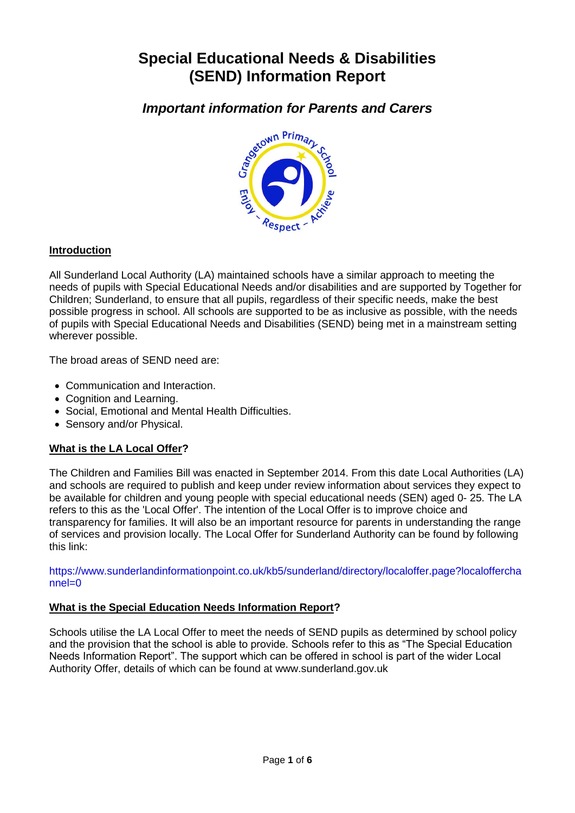# **Special Educational Needs & Disabilities (SEND) Information Report**



# **Introduction**

All Sunderland Local Authority (LA) maintained schools have a similar approach to meeting the needs of pupils with Special Educational Needs and/or disabilities and are supported by Together for Children; Sunderland, to ensure that all pupils, regardless of their specific needs, make the best possible progress in school. All schools are supported to be as inclusive as possible, with the needs of pupils with Special Educational Needs and Disabilities (SEND) being met in a mainstream setting wherever possible.

The broad areas of SEND need are:

- Communication and Interaction.
- Cognition and Learning.
- Social, Emotional and Mental Health Difficulties.
- Sensory and/or Physical.

# **What is the LA Local Offer?**

The Children and Families Bill was enacted in September 2014. From this date Local Authorities (LA) and schools are required to publish and keep under review information about services they expect to be available for children and young people with special educational needs (SEN) aged 0- 25. The LA refers to this as the 'Local Offer'. The intention of the Local Offer is to improve choice and transparency for families. It will also be an important resource for parents in understanding the range of services and provision locally. The Local Offer for Sunderland Authority can be found by following this link:

[https://www.sunderlandinformationpoint.co.uk/kb5/sunderland/directory/localoffer.page?localoffercha](https://www.sunderlandinformationpoint.co.uk/kb5/sunderland/directory/localoffer.page?localofferchannel=0) [nnel=0](https://www.sunderlandinformationpoint.co.uk/kb5/sunderland/directory/localoffer.page?localofferchannel=0)

# **What is the Special Education Needs Information Report?**

Schools utilise the LA Local Offer to meet the needs of SEND pupils as determined by school policy and the provision that the school is able to provide. Schools refer to this as "The Special Education Needs Information Report". The support which can be offered in school is part of the wider Local Authority Offer, details of which can be found at www.sunderland.gov.uk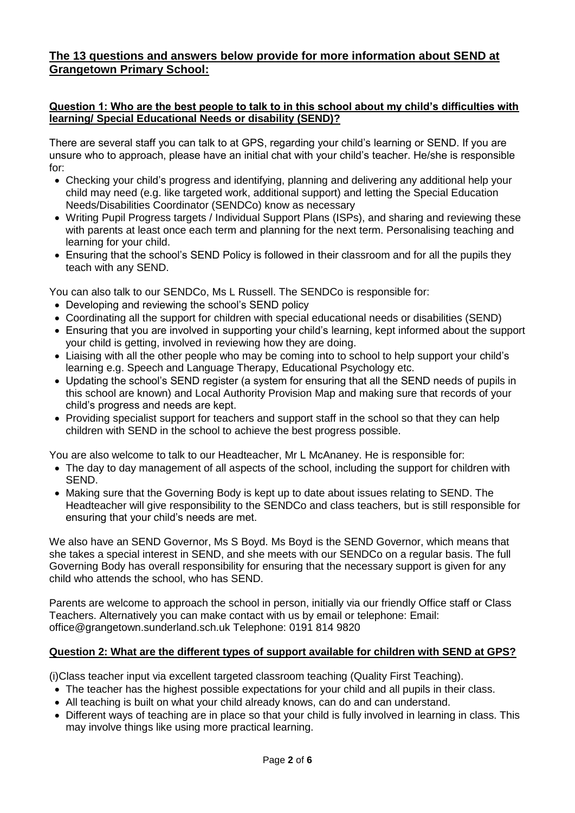# **The 13 questions and answers below provide for more information about SEND at Grangetown Primary School:**

#### **Question 1: Who are the best people to talk to in this school about my child's difficulties with learning/ Special Educational Needs or disability (SEND)?**

There are several staff you can talk to at GPS, regarding your child"s learning or SEND. If you are unsure who to approach, please have an initial chat with your child"s teacher. He/she is responsible for:

- Checking your child"s progress and identifying, planning and delivering any additional help your child may need (e.g. like targeted work, additional support) and letting the Special Education Needs/Disabilities Coordinator (SENDCo) know as necessary
- Writing Pupil Progress targets / Individual Support Plans (ISPs), and sharing and reviewing these with parents at least once each term and planning for the next term. Personalising teaching and learning for your child.
- Ensuring that the school"s SEND Policy is followed in their classroom and for all the pupils they teach with any SEND.

You can also talk to our SENDCo, Ms L Russell. The SENDCo is responsible for:

- Developing and reviewing the school's SEND policy
- Coordinating all the support for children with special educational needs or disabilities (SEND)
- Ensuring that you are involved in supporting your child"s learning, kept informed about the support your child is getting, involved in reviewing how they are doing.
- Liaising with all the other people who may be coming into to school to help support your child's learning e.g. Speech and Language Therapy, Educational Psychology etc.
- Updating the school"s SEND register (a system for ensuring that all the SEND needs of pupils in this school are known) and Local Authority Provision Map and making sure that records of your child"s progress and needs are kept.
- Providing specialist support for teachers and support staff in the school so that they can help children with SEND in the school to achieve the best progress possible.

You are also welcome to talk to our Headteacher, Mr L McAnaney. He is responsible for:

- The day to day management of all aspects of the school, including the support for children with SEND.
- Making sure that the Governing Body is kept up to date about issues relating to SEND. The Headteacher will give responsibility to the SENDCo and class teachers, but is still responsible for ensuring that your child"s needs are met.

We also have an SEND Governor, Ms S Boyd. Ms Boyd is the SEND Governor, which means that she takes a special interest in SEND, and she meets with our SENDCo on a regular basis. The full Governing Body has overall responsibility for ensuring that the necessary support is given for any child who attends the school, who has SEND.

Parents are welcome to approach the school in person, initially via our friendly Office staff or Class Teachers. Alternatively you can make contact with us by email or telephone: Email: office@grangetown.sunderland.sch.uk Telephone: 0191 814 9820

# **Question 2: What are the different types of support available for children with SEND at GPS?**

(i)Class teacher input via excellent targeted classroom teaching (Quality First Teaching).

- The teacher has the highest possible expectations for your child and all pupils in their class.
- All teaching is built on what your child already knows, can do and can understand.
- Different ways of teaching are in place so that your child is fully involved in learning in class. This may involve things like using more practical learning.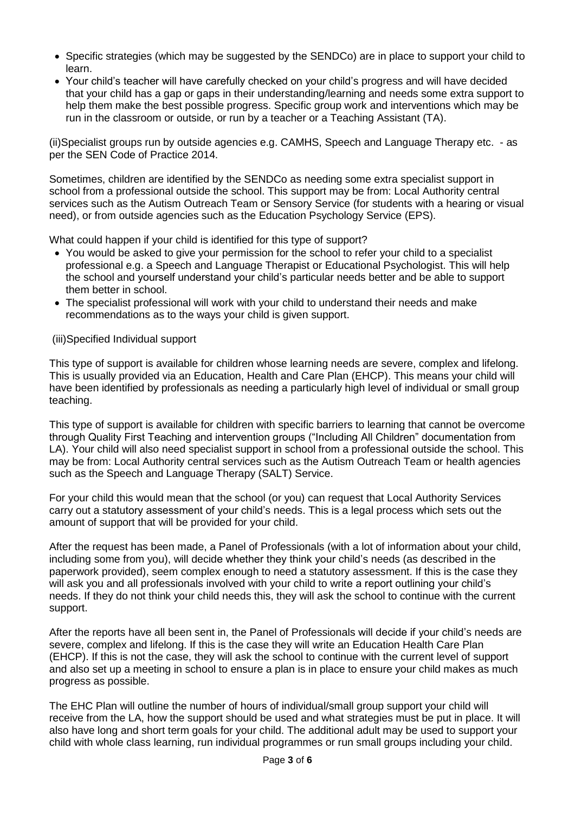- Specific strategies (which may be suggested by the SENDCo) are in place to support your child to learn.
- Your child"s teacher will have carefully checked on your child"s progress and will have decided that your child has a gap or gaps in their understanding/learning and needs some extra support to help them make the best possible progress. Specific group work and interventions which may be run in the classroom or outside, or run by a teacher or a Teaching Assistant (TA).

(ii)Specialist groups run by outside agencies e.g. CAMHS, Speech and Language Therapy etc. - as per the SEN Code of Practice 2014.

Sometimes, children are identified by the SENDCo as needing some extra specialist support in school from a professional outside the school. This support may be from: Local Authority central services such as the Autism Outreach Team or Sensory Service (for students with a hearing or visual need), or from outside agencies such as the Education Psychology Service (EPS).

What could happen if your child is identified for this type of support?

- You would be asked to give your permission for the school to refer your child to a specialist professional e.g. a Speech and Language Therapist or Educational Psychologist. This will help the school and yourself understand your child"s particular needs better and be able to support them better in school.
- The specialist professional will work with your child to understand their needs and make recommendations as to the ways your child is given support.

#### (iii)Specified Individual support

This type of support is available for children whose learning needs are severe, complex and lifelong. This is usually provided via an Education, Health and Care Plan (EHCP). This means your child will have been identified by professionals as needing a particularly high level of individual or small group teaching.

This type of support is available for children with specific barriers to learning that cannot be overcome through Quality First Teaching and intervention groups ("Including All Children" documentation from LA). Your child will also need specialist support in school from a professional outside the school. This may be from: Local Authority central services such as the Autism Outreach Team or health agencies such as the Speech and Language Therapy (SALT) Service.

For your child this would mean that the school (or you) can request that Local Authority Services carry out a statutory assessment of your child"s needs. This is a legal process which sets out the amount of support that will be provided for your child.

After the request has been made, a Panel of Professionals (with a lot of information about your child, including some from you), will decide whether they think your child"s needs (as described in the paperwork provided), seem complex enough to need a statutory assessment. If this is the case they will ask you and all professionals involved with your child to write a report outlining your child's needs. If they do not think your child needs this, they will ask the school to continue with the current support.

After the reports have all been sent in, the Panel of Professionals will decide if your child"s needs are severe, complex and lifelong. If this is the case they will write an Education Health Care Plan (EHCP). If this is not the case, they will ask the school to continue with the current level of support and also set up a meeting in school to ensure a plan is in place to ensure your child makes as much progress as possible.

The EHC Plan will outline the number of hours of individual/small group support your child will receive from the LA, how the support should be used and what strategies must be put in place. It will also have long and short term goals for your child. The additional adult may be used to support your child with whole class learning, run individual programmes or run small groups including your child.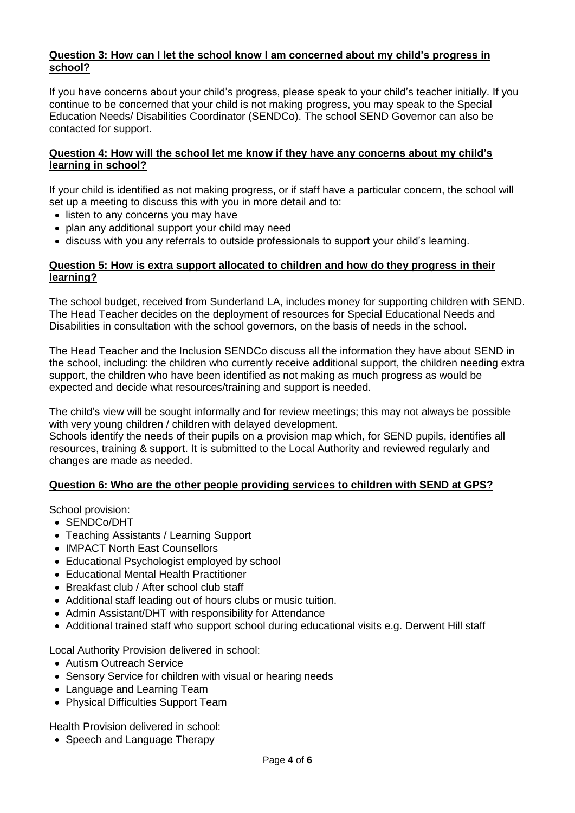## **Question 3: How can I let the school know I am concerned about my child's progress in school?**

If you have concerns about your child"s progress, please speak to your child"s teacher initially. If you continue to be concerned that your child is not making progress, you may speak to the Special Education Needs/ Disabilities Coordinator (SENDCo). The school SEND Governor can also be contacted for support.

#### **Question 4: How will the school let me know if they have any concerns about my child's learning in school?**

If your child is identified as not making progress, or if staff have a particular concern, the school will set up a meeting to discuss this with you in more detail and to:

- listen to any concerns you may have
- plan any additional support your child may need
- discuss with you any referrals to outside professionals to support your child"s learning.

#### **Question 5: How is extra support allocated to children and how do they progress in their learning?**

The school budget, received from Sunderland LA, includes money for supporting children with SEND. The Head Teacher decides on the deployment of resources for Special Educational Needs and Disabilities in consultation with the school governors, on the basis of needs in the school.

The Head Teacher and the Inclusion SENDCo discuss all the information they have about SEND in the school, including: the children who currently receive additional support, the children needing extra support, the children who have been identified as not making as much progress as would be expected and decide what resources/training and support is needed.

The child"s view will be sought informally and for review meetings; this may not always be possible with very young children / children with delayed development.

Schools identify the needs of their pupils on a provision map which, for SEND pupils, identifies all resources, training & support. It is submitted to the Local Authority and reviewed regularly and changes are made as needed.

# **Question 6: Who are the other people providing services to children with SEND at GPS?**

School provision:

- SENDCo/DHT
- Teaching Assistants / Learning Support
- IMPACT North East Counsellors
- Educational Psychologist employed by school
- Educational Mental Health Practitioner
- Breakfast club / After school club staff
- Additional staff leading out of hours clubs or music tuition.
- Admin Assistant/DHT with responsibility for Attendance
- Additional trained staff who support school during educational visits e.g. Derwent Hill staff

Local Authority Provision delivered in school:

- Autism Outreach Service
- Sensory Service for children with visual or hearing needs
- Language and Learning Team
- Physical Difficulties Support Team

Health Provision delivered in school:

• Speech and Language Therapy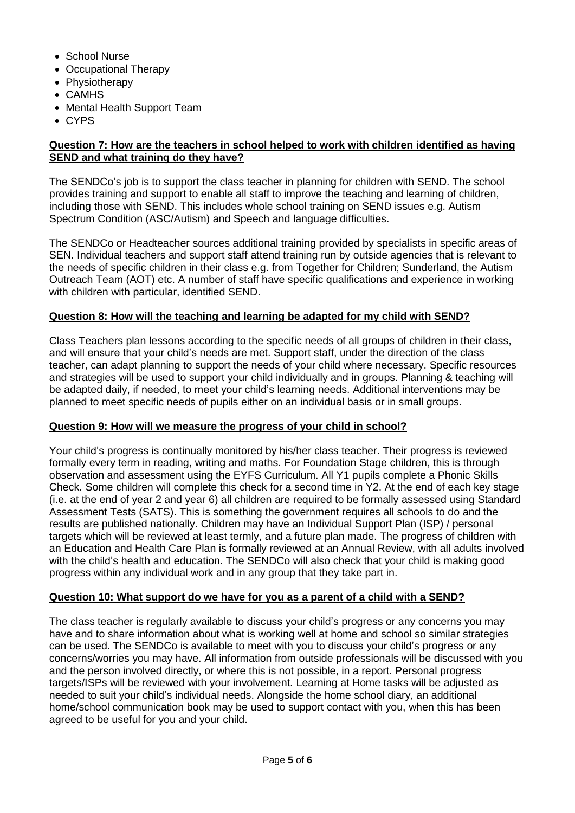- School Nurse
- Occupational Therapy
- Physiotherapy
- CAMHS
- Mental Health Support Team
- CYPS

#### **Question 7: How are the teachers in school helped to work with children identified as having SEND and what training do they have?**

The SENDCo"s job is to support the class teacher in planning for children with SEND. The school provides training and support to enable all staff to improve the teaching and learning of children, including those with SEND. This includes whole school training on SEND issues e.g. Autism Spectrum Condition (ASC/Autism) and Speech and language difficulties.

The SENDCo or Headteacher sources additional training provided by specialists in specific areas of SEN. Individual teachers and support staff attend training run by outside agencies that is relevant to the needs of specific children in their class e.g. from Together for Children; Sunderland, the Autism Outreach Team (AOT) etc. A number of staff have specific qualifications and experience in working with children with particular, identified SEND.

## **Question 8: How will the teaching and learning be adapted for my child with SEND?**

Class Teachers plan lessons according to the specific needs of all groups of children in their class, and will ensure that your child"s needs are met. Support staff, under the direction of the class teacher, can adapt planning to support the needs of your child where necessary. Specific resources and strategies will be used to support your child individually and in groups. Planning & teaching will be adapted daily, if needed, to meet your child"s learning needs. Additional interventions may be planned to meet specific needs of pupils either on an individual basis or in small groups.

#### **Question 9: How will we measure the progress of your child in school?**

Your child"s progress is continually monitored by his/her class teacher. Their progress is reviewed formally every term in reading, writing and maths. For Foundation Stage children, this is through observation and assessment using the EYFS Curriculum. All Y1 pupils complete a Phonic Skills Check. Some children will complete this check for a second time in Y2. At the end of each key stage (i.e. at the end of year 2 and year 6) all children are required to be formally assessed using Standard Assessment Tests (SATS). This is something the government requires all schools to do and the results are published nationally. Children may have an Individual Support Plan (ISP) / personal targets which will be reviewed at least termly, and a future plan made. The progress of children with an Education and Health Care Plan is formally reviewed at an Annual Review, with all adults involved with the child's health and education. The SENDCo will also check that your child is making good progress within any individual work and in any group that they take part in.

### **Question 10: What support do we have for you as a parent of a child with a SEND?**

The class teacher is regularly available to discuss your child"s progress or any concerns you may have and to share information about what is working well at home and school so similar strategies can be used. The SENDCo is available to meet with you to discuss your child"s progress or any concerns/worries you may have. All information from outside professionals will be discussed with you and the person involved directly, or where this is not possible, in a report. Personal progress targets/ISPs will be reviewed with your involvement. Learning at Home tasks will be adjusted as needed to suit your child"s individual needs. Alongside the home school diary, an additional home/school communication book may be used to support contact with you, when this has been agreed to be useful for you and your child.